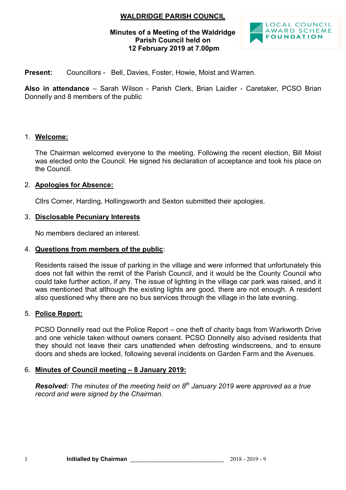# **WALDRIDGE PARISH COUNCIL**

#### **Minutes of a Meeting of the Waldridge Parish Council held on 12 February 2019 at 7.00pm**



**Present:** Councillors - Bell, Davies, Foster, Howie, Moist and Warren.

**Also in attendance** – Sarah Wilson - Parish Clerk, Brian Laidler - Caretaker, PCSO Brian Donnelly and 8 members of the public

#### 1. **Welcome:**

The Chairman welcomed everyone to the meeting. Following the recent election, Bill Moist was elected onto the Council. He signed his declaration of acceptance and took his place on the Council.

#### 2. **Apologies for Absence:**

Cllrs Corner, Harding, Hollingsworth and Sexton submitted their apologies.

#### 3. **Disclosable Pecuniary Interests**

No members declared an interest.

#### 4. **Questions from members of the public**:

Residents raised the issue of parking in the village and were informed that unfortunately this does not fall within the remit of the Parish Council, and it would be the County Council who could take further action, if any. The issue of lighting in the village car park was raised, and it was mentioned that although the existing lights are good, there are not enough. A resident also questioned why there are no bus services through the village in the late evening.

#### 5. **Police Report:**

PCSO Donnelly read out the Police Report – one theft of charity bags from Warkworth Drive and one vehicle taken without owners consent. PCSO Donnelly also advised residents that they should not leave their cars unattended when defrosting windscreens, and to ensure doors and sheds are locked, following several incidents on Garden Farm and the Avenues.

#### 6. **Minutes of Council meeting – 8 January 2019:**

*Resolved: The minutes of the meeting held on 8 th January 2019 were approved as a true record and were signed by the Chairman.*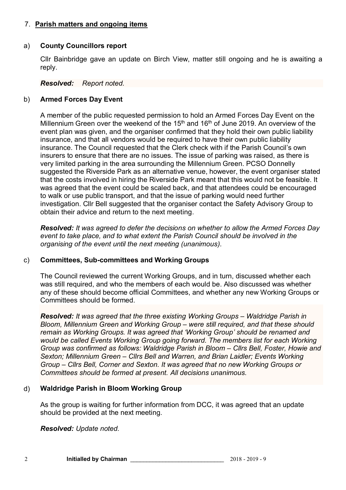### 7. **Parish matters and ongoing items**

#### a) **County Councillors report**

Cllr Bainbridge gave an update on Birch View, matter still ongoing and he is awaiting a reply.

#### *Resolved: Report noted.*

#### b) **Armed Forces Day Event**

A member of the public requested permission to hold an Armed Forces Day Event on the Millennium Green over the weekend of the  $15<sup>th</sup>$  and  $16<sup>th</sup>$  of June 2019. An overview of the event plan was given, and the organiser confirmed that they hold their own public liability insurance, and that all vendors would be required to have their own public liability insurance. The Council requested that the Clerk check with if the Parish Council's own insurers to ensure that there are no issues. The issue of parking was raised, as there is very limited parking in the area surrounding the Millennium Green. PCSO Donnelly suggested the Riverside Park as an alternative venue, however, the event organiser stated that the costs involved in hiring the Riverside Park meant that this would not be feasible. It was agreed that the event could be scaled back, and that attendees could be encouraged to walk or use public transport, and that the issue of parking would need further investigation. Cllr Bell suggested that the organiser contact the Safety Advisory Group to obtain their advice and return to the next meeting.

*Resolved: It was agreed to defer the decisions on whether to allow the Armed Forces Day event to take place, and to what extent the Parish Council should be involved in the organising of the event until the next meeting (unanimous).*

#### c) **Committees, Sub-committees and Working Groups**

The Council reviewed the current Working Groups, and in turn, discussed whether each was still required, and who the members of each would be. Also discussed was whether any of these should become official Committees, and whether any new Working Groups or Committees should be formed.

*Resolved: It was agreed that the three existing Working Groups – Waldridge Parish in Bloom, Millennium Green and Working Group – were still required, and that these should remain as Working Groups. It was agreed that 'Working Group' should be renamed and would be called Events Working Group going forward. The members list for each Working Group was confirmed as follows: Waldridge Parish in Bloom – Cllrs Bell, Foster, Howie and Sexton; Millennium Green – Cllrs Bell and Warren, and Brian Laidler; Events Working Group – Cllrs Bell, Corner and Sexton. It was agreed that no new Working Groups or Committees should be formed at present. All decisions unanimous.*

## d) **Waldridge Parish in Bloom Working Group**

As the group is waiting for further information from DCC, it was agreed that an update should be provided at the next meeting.

*Resolved: Update noted.*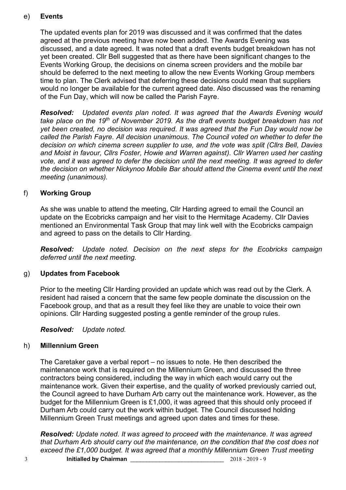# e) **Events**

The updated events plan for 2019 was discussed and it was confirmed that the dates agreed at the previous meeting have now been added. The Awards Evening was discussed, and a date agreed. It was noted that a draft events budget breakdown has not yet been created. Cllr Bell suggested that as there have been significant changes to the Events Working Group, the decisions on cinema screen providers and the mobile bar should be deferred to the next meeting to allow the new Events Working Group members time to plan. The Clerk advised that deferring these decisions could mean that suppliers would no longer be available for the current agreed date. Also discussed was the renaming of the Fun Day, which will now be called the Parish Fayre.

*Resolved: Updated events plan noted. It was agreed that the Awards Evening would take place on the 19th of November 2019. As the draft events budget breakdown has not yet been created, no decision was required. It was agreed that the Fun Day would now be called the Parish Fayre. All decision unanimous. The Council voted on whether to defer the decision on which cinema screen supplier to use, and the vote was split (Cllrs Bell, Davies and Moist in favour, Cllrs Foster, Howie and Warren against). Cllr Warren used her casting vote, and it was agreed to defer the decision until the next meeting. It was agreed to defer the decision on whether Nickynoo Mobile Bar should attend the Cinema event until the next meeting (unanimous).*

# f) **Working Group**

As she was unable to attend the meeting, Cllr Harding agreed to email the Council an update on the Ecobricks campaign and her visit to the Hermitage Academy. Cllr Davies mentioned an Environmental Task Group that may link well with the Ecobricks campaign and agreed to pass on the details to Cllr Harding.

*Resolved: Update noted. Decision on the next steps for the Ecobricks campaign deferred until the next meeting.* 

## g) **Updates from Facebook**

Prior to the meeting Cllr Harding provided an update which was read out by the Clerk. A resident had raised a concern that the same few people dominate the discussion on the Facebook group, and that as a result they feel like they are unable to voice their own opinions. Cllr Harding suggested posting a gentle reminder of the group rules.

*Resolved: Update noted.*

# h) **Millennium Green**

The Caretaker gave a verbal report – no issues to note. He then described the maintenance work that is required on the Millennium Green, and discussed the three contractors being considered, including the way in which each would carry out the maintenance work. Given their expertise, and the quality of worked previously carried out, the Council agreed to have Durham Arb carry out the maintenance work. However, as the budget for the Millennium Green is £1,000, it was agreed that this should only proceed if Durham Arb could carry out the work within budget. The Council discussed holding Millennium Green Trust meetings and agreed upon dates and times for these.

*Resolved: Update noted. It was agreed to proceed with the maintenance. It was agreed that Durham Arb should carry out the maintenance, on the condition that the cost does not exceed the £1,000 budget. It was agreed that a monthly Millennium Green Trust meeting*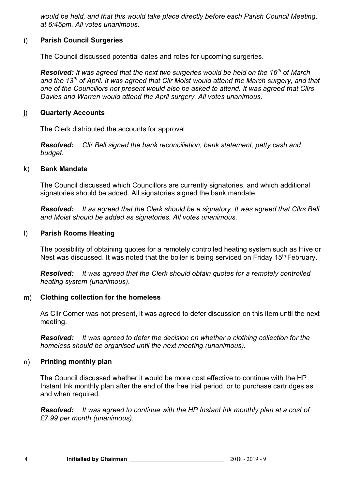*would be held, and that this would take place directly before each Parish Council Meeting, at 6:45pm. All votes unanimous.*

#### i) **Parish Council Surgeries**

The Council discussed potential dates and rotes for upcoming surgeries.

*Resolved: It was agreed that the next two surgeries would be held on the 16th of March and the 13th of April. It was agreed that Cllr Moist would attend the March surgery, and that one of the Councillors not present would also be asked to attend. It was agreed that Cllrs Davies and Warren would attend the April surgery. All votes unanimous.* 

#### j) **Quarterly Accounts**

The Clerk distributed the accounts for approval.

*Resolved: Cllr Bell signed the bank reconciliation, bank statement, petty cash and budget.*

#### k) **Bank Mandate**

The Council discussed which Councillors are currently signatories, and which additional signatories should be added. All signatories signed the bank mandate.

*Resolved: It as agreed that the Clerk should be a signatory. It was agreed that Cllrs Bell and Moist should be added as signatories. All votes unanimous.*

#### l) **Parish Rooms Heating**

The possibility of obtaining quotes for a remotely controlled heating system such as Hive or Nest was discussed. It was noted that the boiler is being serviced on Friday 15<sup>th</sup> February.

*Resolved: It was agreed that the Clerk should obtain quotes for a remotely controlled heating system (unanimous).*

## m) **Clothing collection for the homeless**

As Cllr Corner was not present, it was agreed to defer discussion on this item until the next meeting.

*Resolved: It was agreed to defer the decision on whether a clothing collection for the homeless should be organised until the next meeting (unanimous).*

#### n) **Printing monthly plan**

The Council discussed whether it would be more cost effective to continue with the HP Instant Ink monthly plan after the end of the free trial period, or to purchase cartridges as and when required.

*Resolved: It was agreed to continue with the HP Instant Ink monthly plan at a cost of £7.99 per month (unanimous).*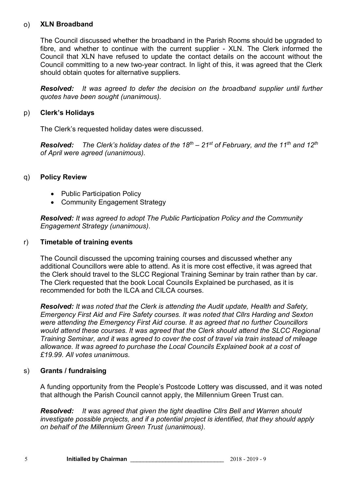#### o) **XLN Broadband**

The Council discussed whether the broadband in the Parish Rooms should be upgraded to fibre, and whether to continue with the current supplier - XLN. The Clerk informed the Council that XLN have refused to update the contact details on the account without the Council committing to a new two-year contract. In light of this, it was agreed that the Clerk should obtain quotes for alternative suppliers.

*Resolved: It was agreed to defer the decision on the broadband supplier until further quotes have been sought (unanimous).*

#### p) **Clerk's Holidays**

The Clerk's requested holiday dates were discussed.

*Resolved: The Clerk's holiday dates of the 18th – 21st of February, and the 11th and 12th of April were agreed (unanimous).*

#### q) **Policy Review**

- Public Participation Policy
- Community Engagement Strategy

*Resolved: It was agreed to adopt The Public Participation Policy and the Community Engagement Strategy (unanimous).*

#### r) **Timetable of training events**

The Council discussed the upcoming training courses and discussed whether any additional Councillors were able to attend. As it is more cost effective, it was agreed that the Clerk should travel to the SLCC Regional Training Seminar by train rather than by car. The Clerk requested that the book Local Councils Explained be purchased, as it is recommended for both the ILCA and CILCA courses.

*Resolved: It was noted that the Clerk is attending the Audit update, Health and Safety, Emergency First Aid and Fire Safety courses. It was noted that Cllrs Harding and Sexton were attending the Emergency First Aid course. It as agreed that no further Councillors would attend these courses. It was agreed that the Clerk should attend the SLCC Regional Training Seminar, and it was agreed to cover the cost of travel via train instead of mileage allowance. It was agreed to purchase the Local Councils Explained book at a cost of £19.99. All votes unanimous.*

#### s) **Grants / fundraising**

A funding opportunity from the People's Postcode Lottery was discussed, and it was noted that although the Parish Council cannot apply, the Millennium Green Trust can.

*Resolved: It was agreed that given the tight deadline Cllrs Bell and Warren should investigate possible projects, and if a potential project is identified, that they should apply on behalf of the Millennium Green Trust (unanimous).*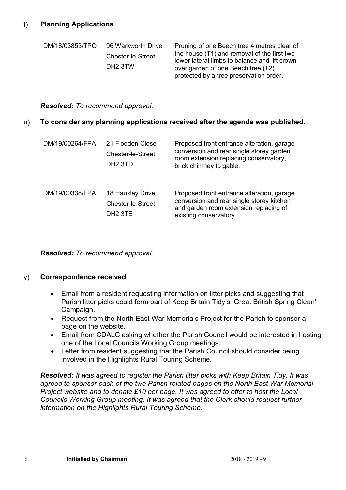| DM/18/03853/TPO | 96 Warkworth Drive<br>Chester-le-Street<br>DH <sub>2</sub> 3TW | Pruning of one Beech tree 4 metres clear of<br>the house (T1) and removal of the first two<br>lower lateral limbs to balance and lift crown<br>over garden of one Beech tree (T2)<br>protected by a tree preservation order. |
|-----------------|----------------------------------------------------------------|------------------------------------------------------------------------------------------------------------------------------------------------------------------------------------------------------------------------------|
|                 |                                                                |                                                                                                                                                                                                                              |

#### *Resolved: To recommend approval.*

#### u) **To consider any planning applications received after the agenda was published.**

| DM/19/00264/FPA | 21 Flodden Close<br><b>Chester-le-Street</b><br>DH <sub>2</sub> 3TD | Proposed front entrance alteration, garage<br>conversion and rear single storey garden<br>room extension replacing conservatory,<br>brick chimney to gable. |
|-----------------|---------------------------------------------------------------------|-------------------------------------------------------------------------------------------------------------------------------------------------------------|
| DM/19/00338/FPA | 18 Hauxley Drive<br>Chester-le-Street<br>DH <sub>2</sub> 3TE        | Proposed front entrance alteration, garage<br>conversion and rear single storey kitchen<br>and garden room extension replacing of<br>existing conservatory. |

*Resolved: To recommend approval.*

## v) **Correspondence received**

- Email from a resident requesting information on litter picks and suggesting that Parish litter picks could form part of Keep Britain Tidy's 'Great British Spring Clean' Campaign.
- Request from the North East War Memorials Project for the Parish to sponsor a page on the website.
- Email from CDALC asking whether the Parish Council would be interested in hosting one of the Local Councils Working Group meetings.
- Letter from resident suggesting that the Parish Council should consider being involved in the Highlights Rural Touring Scheme.

*Resolved: It was agreed to register the Parish litter picks with Keep Britain Tidy. It was agreed to sponsor each of the two Parish related pages on the North East War Memorial Project website and to donate £10 per page. It was agreed to offer to host the Local Councils Working Group meeting. It was agreed that the Clerk should request further information on the Highlights Rural Touring Scheme.*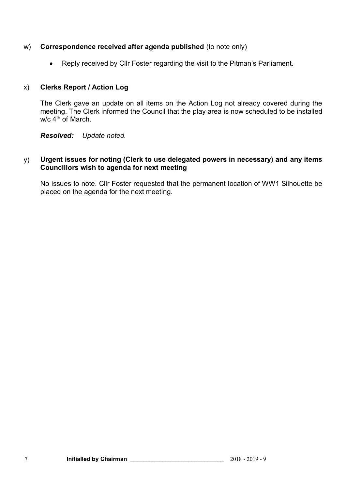#### w) **Correspondence received after agenda published** (to note only)

Reply received by Cllr Foster regarding the visit to the Pitman's Parliament.

#### x) **Clerks Report / Action Log**

The Clerk gave an update on all items on the Action Log not already covered during the meeting. The Clerk informed the Council that the play area is now scheduled to be installed w/c 4<sup>th</sup> of March.

*Resolved: Update noted.*

#### y) **Urgent issues for noting (Clerk to use delegated powers in necessary) and any items Councillors wish to agenda for next meeting**

No issues to note. Cllr Foster requested that the permanent location of WW1 Silhouette be placed on the agenda for the next meeting.